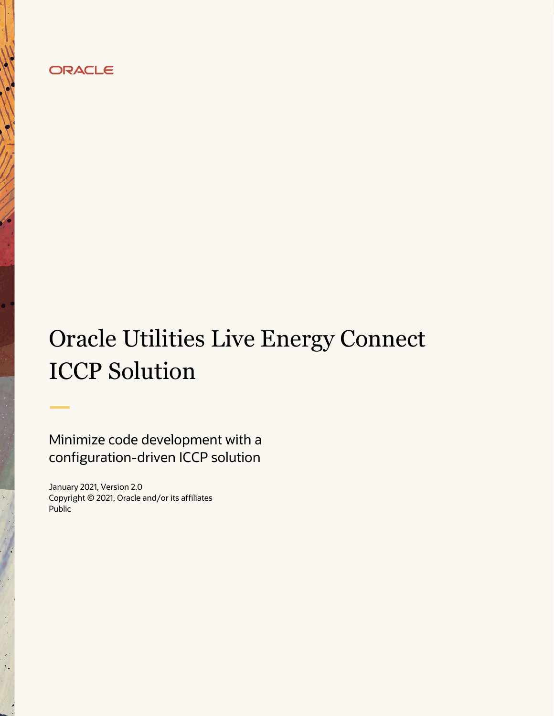# ORACLE

# Oracle Utilities Live Energy Connect ICCP Solution

Minimize code development with a configuration-driven ICCP solution

January 2021, Version 2.0 Copyright © 2021, Oracle and/or its affiliates Public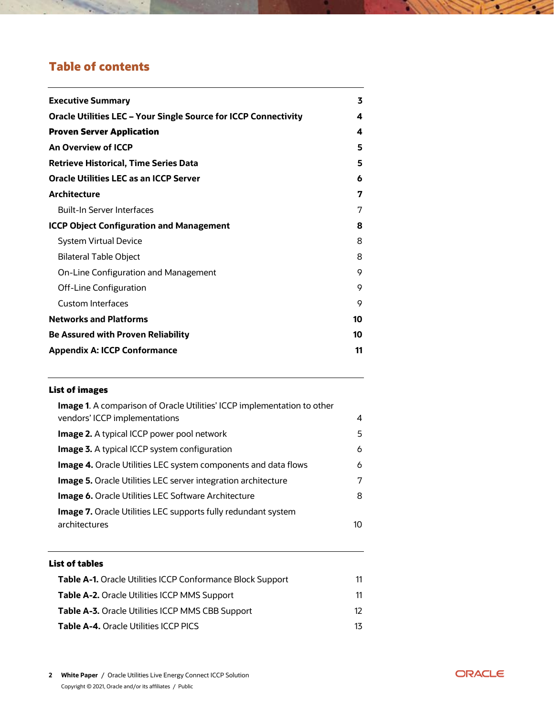# **Table of contents**

| <b>Executive Summary</b>                                               | 3  |
|------------------------------------------------------------------------|----|
| <b>Oracle Utilities LEC - Your Single Source for ICCP Connectivity</b> | 4  |
| <b>Proven Server Application</b>                                       | 4  |
| An Overview of ICCP                                                    | 5  |
| <b>Retrieve Historical, Time Series Data</b>                           | 5  |
| <b>Oracle Utilities LEC as an ICCP Server</b>                          | 6  |
| <b>Architecture</b>                                                    | 7  |
| <b>Built-In Server Interfaces</b>                                      | 7  |
| <b>ICCP Object Configuration and Management</b>                        | 8  |
| <b>System Virtual Device</b>                                           | 8  |
| <b>Bilateral Table Object</b>                                          | 8  |
| On-Line Configuration and Management                                   | 9  |
| Off-Line Configuration                                                 | 9  |
| <b>Custom Interfaces</b>                                               | 9  |
| <b>Networks and Platforms</b>                                          | 10 |
| <b>Be Assured with Proven Reliability</b>                              | 10 |
| <b>Appendix A: ICCP Conformance</b>                                    | 11 |

## **List of images**

| <b>Image 1.</b> A comparison of Oracle Utilities' ICCP implementation to other |    |
|--------------------------------------------------------------------------------|----|
| vendors' ICCP implementations                                                  | 4  |
| <b>Image 2.</b> A typical ICCP power pool network                              | 5  |
| <b>Image 3.</b> A typical ICCP system configuration                            | 6  |
| <b>Image 4.</b> Oracle Utilities LEC system components and data flows          | 6  |
| <b>Image 5.</b> Oracle Utilities LEC server integration architecture           | 7  |
| <b>Image 6.</b> Oracle Utilities LEC Software Architecture                     | 8  |
| <b>Image 7.</b> Oracle Utilities LEC supports fully redundant system           |    |
| architectures                                                                  | 10 |
|                                                                                |    |

## **List of tables**

| <b>Table A-1.</b> Oracle Utilities ICCP Conformance Block Support | 11 |
|-------------------------------------------------------------------|----|
| <b>Table A-2.</b> Oracle Utilities ICCP MMS Support               | 11 |
| <b>Table A-3.</b> Oracle Utilities ICCP MMS CBB Support           | 12 |
| <b>Table A-4.</b> Oracle Utilities ICCP PICS                      | 13 |

 $\sim$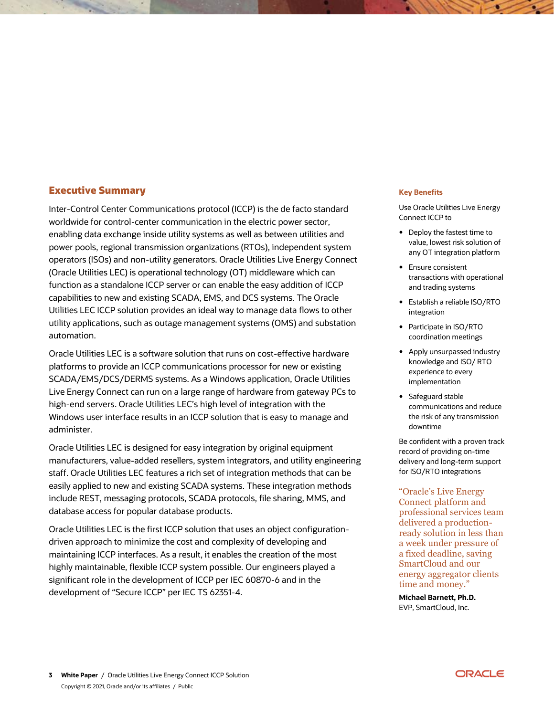### <span id="page-2-0"></span>**Executive Summary**

Inter-Control Center Communications protocol (ICCP) is the de facto standard worldwide for control-center communication in the electric power sector, enabling data exchange inside utility systems as well as between utilities and power pools, regional transmission organizations (RTOs), independent system operators (ISOs) and non-utility generators. Oracle Utilities Live Energy Connect (Oracle Utilities LEC) is operational technology (OT) middleware which can function as a standalone ICCP server or can enable the easy addition of ICCP capabilities to new and existing SCADA, EMS, and DCS systems. The Oracle Utilities LEC ICCP solution provides an ideal way to manage data flows to other utility applications, such as outage management systems (OMS) and substation automation.

Oracle Utilities LEC is a software solution that runs on cost-effective hardware platforms to provide an ICCP communications processor for new or existing SCADA/EMS/DCS/DERMS systems. As a Windows application, Oracle Utilities Live Energy Connect can run on a large range of hardware from gateway PCs to high-end servers. Oracle Utilities LEC's high level of integration with the Windows user interface results in an ICCP solution that is easy to manage and administer.

Oracle Utilities LEC is designed for easy integration by original equipment manufacturers, value-added resellers, system integrators, and utility engineering staff. Oracle Utilities LEC features a rich set of integration methods that can be easily applied to new and existing SCADA systems. These integration methods include REST, messaging protocols, SCADA protocols, file sharing, MMS, and database access for popular database products.

Oracle Utilities LEC is the first ICCP solution that uses an object configurationdriven approach to minimize the cost and complexity of developing and maintaining ICCP interfaces. As a result, it enables the creation of the most highly maintainable, flexible ICCP system possible. Our engineers played a significant role in the development of ICCP per IEC 60870-6 and in the development of "Secure ICCP" per IEC TS 62351-4.

#### **Key Benefits**

Use Oracle Utilities Live Energy Connect ICCP to

- Deploy the fastest time to value, lowest risk solution of any OT integration platform
- Ensure consistent transactions with operational and trading systems
- Establish a reliable ISO/RTO integration
- Participate in ISO/RTO coordination meetings
- Apply unsurpassed industry knowledge and ISO/ RTO experience to every implementation
- Safeguard stable communications and reduce the risk of any transmission downtime

Be confident with a proven track record of providing on-time delivery and long-term support for ISO/RTO integrations

"Oracle's Live Energy Connect platform and professional services team delivered a productionready solution in less than a week under pressure of a fixed deadline, saving SmartCloud and our energy aggregator clients time and money."

**Michael Barnett, Ph.D.** EVP, SmartCloud, Inc.

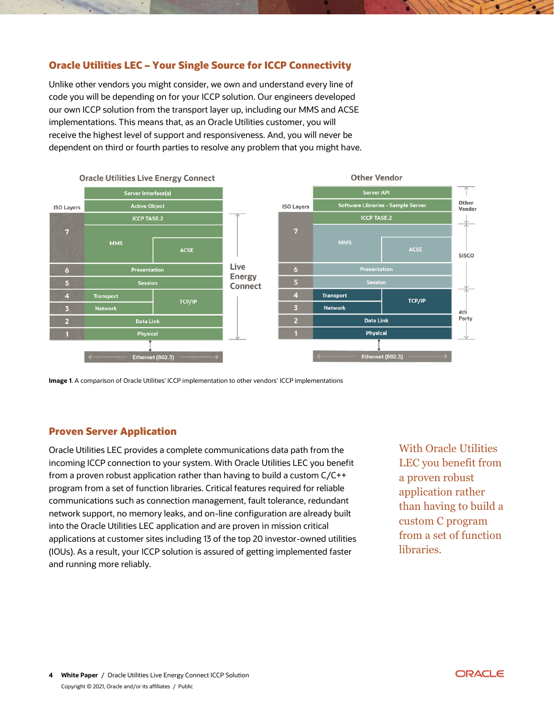## <span id="page-3-0"></span>**Oracle Utilities LEC – Your Single Source for ICCP Connectivity**

Unlike other vendors you might consider, we own and understand every line of code you will be depending on for your ICCP solution. Our engineers developed our own ICCP solution from the transport layer up, including our MMS and ACSE implementations. This means that, as an Oracle Utilities customer, you will receive the highest level of support and responsiveness. And, you will never be dependent on third or fourth parties to resolve any problem that you might have.



<span id="page-3-2"></span>**Image 1**. A comparison of Oracle Utilities' ICCP implementation to other vendors' ICCP implementations

### <span id="page-3-1"></span>**Proven Server Application**

Oracle Utilities LEC provides a complete communications data path from the incoming ICCP connection to your system. With Oracle Utilities LEC you benefit from a proven robust application rather than having to build a custom C/C++ program from a set of function libraries. Critical features required for reliable communications such as connection management, fault tolerance, redundant network support, no memory leaks, and on-line configuration are already built into the Oracle Utilities LEC application and are proven in mission critical applications at customer sites including 13 of the top 20 investor-owned utilities (IOUs). As a result, your ICCP solution is assured of getting implemented faster and running more reliably.

With Oracle Utilities LEC you benefit from a proven robust application rather than having to build a custom C program from a set of function libraries.

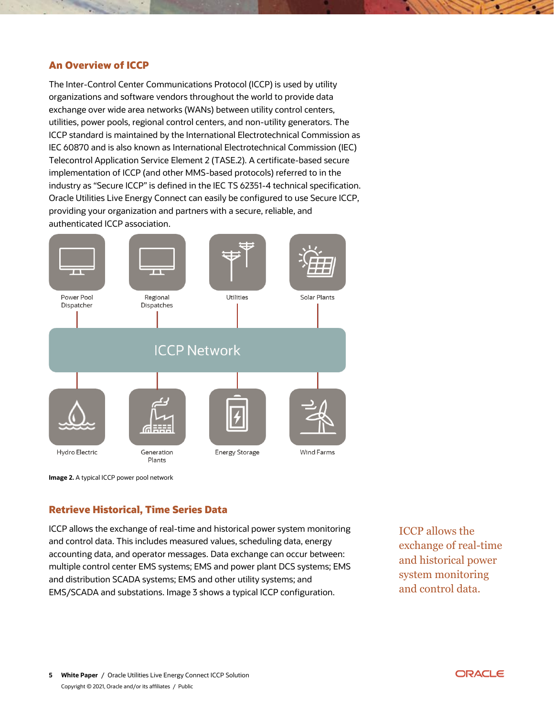## <span id="page-4-0"></span>**An Overview of ICCP**

The Inter-Control Center Communications Protocol (ICCP) is used by utility organizations and software vendors throughout the world to provide data exchange over wide area networks (WANs) between utility control centers, utilities, power pools, regional control centers, and non-utility generators. The ICCP standard is maintained by the International Electrotechnical Commission as IEC 60870 and is also known as International Electrotechnical Commission (IEC) Telecontrol Application Service Element 2 (TASE.2). A certificate-based secure implementation of ICCP (and other MMS-based protocols) referred to in the industry as "Secure ICCP" is defined in the IEC TS 62351-4 technical specification. Oracle Utilities Live Energy Connect can easily be configured to use Secure ICCP, providing your organization and partners with a secure, reliable, and authenticated ICCP association.



<span id="page-4-2"></span>**Image 2.** A typical ICCP power pool network

## <span id="page-4-1"></span>**Retrieve Historical, Time Series Data**

ICCP allows the exchange of real-time and historical power system monitoring and control data. This includes measured values, scheduling data, energy accounting data, and operator messages. Data exchange can occur between: multiple control center EMS systems; EMS and power plant DCS systems; EMS and distribution SCADA systems; EMS and other utility systems; and EMS/SCADA and substations. Image 3 shows a typical ICCP configuration.

ICCP allows the exchange of real-time and historical power system monitoring and control data.

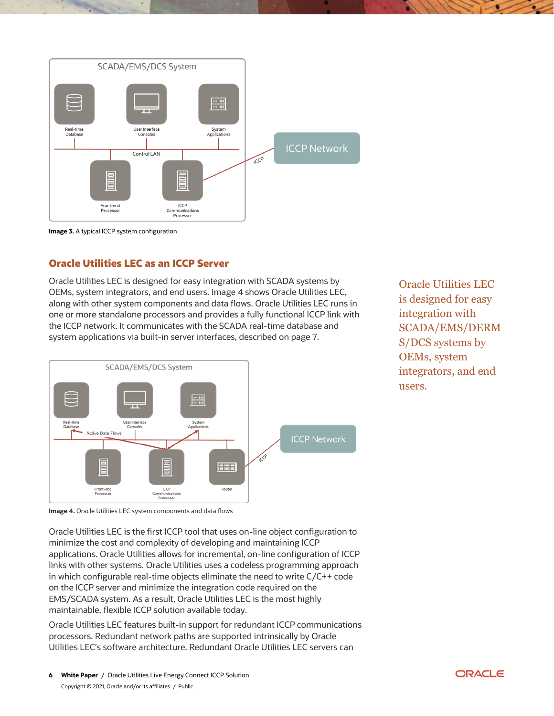

<span id="page-5-1"></span>

## <span id="page-5-0"></span>**Oracle Utilities LEC as an ICCP Server**

Oracle Utilities LEC is designed for easy integration with SCADA systems by OEMs, system integrators, and end users. Image 4 shows Oracle Utilities LEC, along with other system components and data flows. Oracle Utilities LEC runs in one or more standalone processors and provides a fully functional ICCP link with the ICCP network. It communicates with the SCADA real-time database and system applications via built-in server interfaces, described on page 7.



Oracle Utilities LEC is designed for easy integration with SCADA/EMS/DERM S/DCS systems by OEMs, system integrators, and end users.

<span id="page-5-2"></span>**Image 4.** Oracle Utilities LEC system components and data flows

Oracle Utilities LEC is the first ICCP tool that uses on-line object configuration to minimize the cost and complexity of developing and maintaining ICCP applications. Oracle Utilities allows for incremental, on-line configuration of ICCP links with other systems. Oracle Utilities uses a codeless programming approach in which configurable real-time objects eliminate the need to write C/C++ code on the ICCP server and minimize the integration code required on the EMS/SCADA system. As a result, Oracle Utilities LEC is the most highly maintainable, flexible ICCP solution available today.

Oracle Utilities LEC features built-in support for redundant ICCP communications processors. Redundant network paths are supported intrinsically by Oracle Utilities LEC's software architecture. Redundant Oracle Utilities LEC servers can

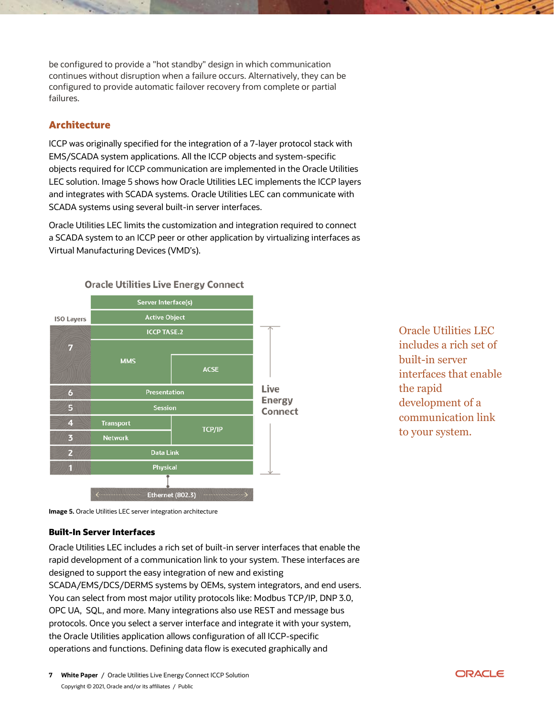be configured to provide a "hot standby" design in which communication continues without disruption when a failure occurs. Alternatively, they can be configured to provide automatic failover recovery from complete or partial failures.

## <span id="page-6-0"></span>**Architecture**

ICCP was originally specified for the integration of a 7-layer protocol stack with EMS/SCADA system applications. All the ICCP objects and system-specific objects required for ICCP communication are implemented in the Oracle Utilities LEC solution. Image 5 shows how Oracle Utilities LEC implements the ICCP layers and integrates with SCADA systems. Oracle Utilities LEC can communicate with SCADA systems using several built-in server interfaces.

Oracle Utilities LEC limits the customization and integration required to connect a SCADA system to an ICCP peer or other application by virtualizing interfaces as Virtual Manufacturing Devices (VMD's).



Oracle Utilities LEC includes a rich set of built-in server interfaces that enable the rapid development of a communication link to your system.

<span id="page-6-2"></span>**Image 5.** Oracle Utilities LEC server integration architecture

#### <span id="page-6-1"></span>**Built-In Server Interfaces**

Oracle Utilities LEC includes a rich set of built-in server interfaces that enable the rapid development of a communication link to your system. These interfaces are designed to support the easy integration of new and existing SCADA/EMS/DCS/DERMS systems by OEMs, system integrators, and end users. You can select from most major utility protocols like: Modbus TCP/IP, DNP 3.0, OPC UA, SQL, and more. Many integrations also use REST and message bus protocols. Once you select a server interface and integrate it with your system, the Oracle Utilities application allows configuration of all ICCP-specific operations and functions. Defining data flow is executed graphically and

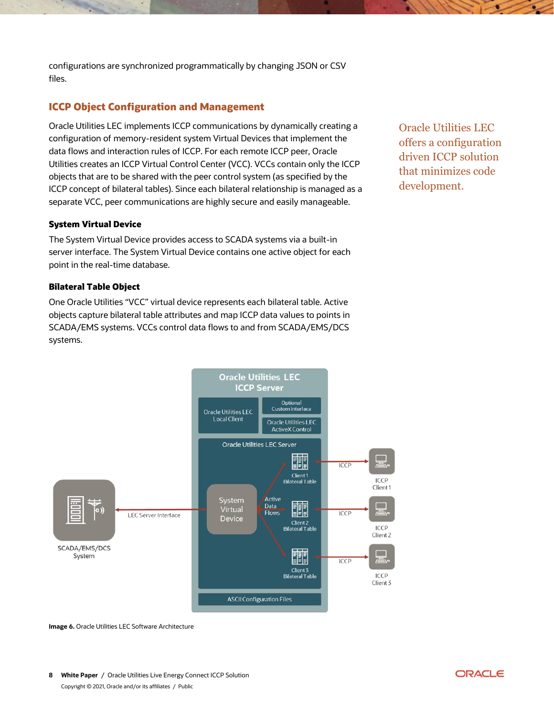configurations are synchronized programmatically by changing JSON or CSV files.

## <span id="page-7-0"></span>**ICCP Object Configuration and Management**

Oracle Utilities LEC implements ICCP communications by dynamically creating a configuration of memory-resident system Virtual Devices that implement the data flows and interaction rules of ICCP. For each remote ICCP peer, Oracle Utilities creates an ICCP Virtual Control Center (VCC). VCCs contain only the ICCP objects that are to be shared with the peer control system (as specified by the ICCP concept of bilateral tables). Since each bilateral relationship is managed as a separate VCC, peer communications are highly secure and easily manageable.

#### <span id="page-7-1"></span>**System Virtual Device**

The System Virtual Device provides access to SCADA systems via a built-in server interface. The System Virtual Device contains one active object for each point in the real-time database.

#### <span id="page-7-2"></span>**Bilateral Table Object**

One Oracle Utilities "VCC" virtual device represents each bilateral table. Active objects capture bilateral table attributes and map ICCP data values to points in SCADA/EMS systems. VCCs control data flows to and from SCADA/EMS/DCS systems.





<span id="page-7-3"></span>**Image 6.** Oracle Utilities LEC Software Architecture

**8 White Paper** / Oracle Utilities Live Energy Connect ICCP Solution Copyright © 2021, Oracle and/or its affiliates / Public

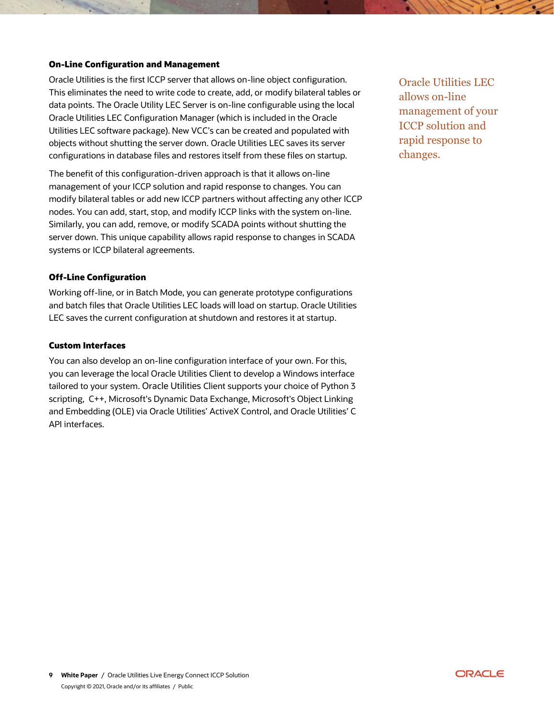### <span id="page-8-0"></span>**On-Line Configuration and Management**

Oracle Utilities is the first ICCP server that allows on-line object configuration. This eliminates the need to write code to create, add, or modify bilateral tables or data points. The Oracle Utility LEC Server is on-line configurable using the local Oracle Utilities LEC Configuration Manager (which is included in the Oracle Utilities LEC software package). New VCC's can be created and populated with objects without shutting the server down. Oracle Utilities LEC saves its server configurations in database files and restores itself from these files on startup.

The benefit of this configuration-driven approach is that it allows on-line management of your ICCP solution and rapid response to changes. You can modify bilateral tables or add new ICCP partners without affecting any other ICCP nodes. You can add, start, stop, and modify ICCP links with the system on-line. Similarly, you can add, remove, or modify SCADA points without shutting the server down. This unique capability allows rapid response to changes in SCADA systems or ICCP bilateral agreements.

#### <span id="page-8-1"></span>**Off-Line Configuration**

Working off-line, or in Batch Mode, you can generate prototype configurations and batch files that Oracle Utilities LEC loads will load on startup. Oracle Utilities LEC saves the current configuration at shutdown and restores it at startup.

#### <span id="page-8-2"></span>**Custom Interfaces**

You can also develop an on-line configuration interface of your own. For this, you can leverage the local Oracle Utilities Client to develop a Windows interface tailored to your system. Oracle Utilities Client supports your choice of Python 3 scripting, C++, Microsoft's Dynamic Data Exchange, Microsoft's Object Linking and Embedding (OLE) via Oracle Utilities' ActiveX Control, and Oracle Utilities' C API interfaces.

Oracle Utilities LEC allows on-line management of your ICCP solution and rapid response to changes.

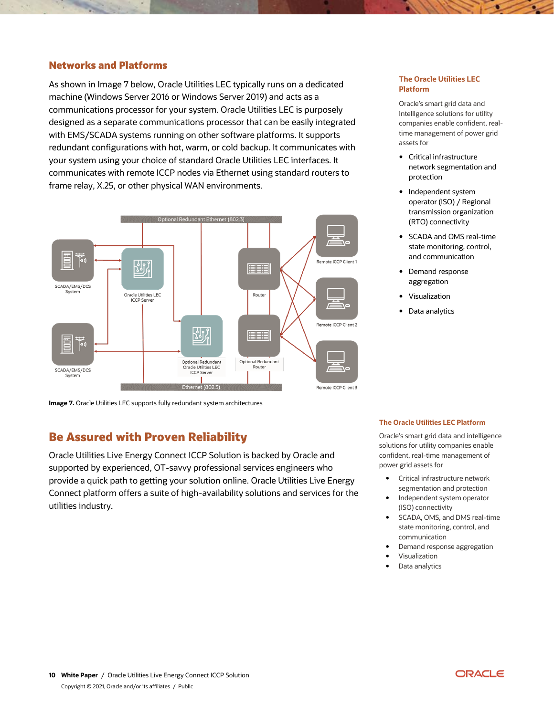## <span id="page-9-0"></span>**Networks and Platforms**

As shown in Image 7 below, Oracle Utilities LEC typically runs on a dedicated machine (Windows Server 2016 or Windows Server 2019) and acts as a communications processor for your system. Oracle Utilities LEC is purposely designed as a separate communications processor that can be easily integrated with EMS/SCADA systems running on other software platforms. It supports redundant configurations with hot, warm, or cold backup. It communicates with your system using your choice of standard Oracle Utilities LEC interfaces. It communicates with remote ICCP nodes via Ethernet using standard routers to frame relay, X.25, or other physical WAN environments.



<span id="page-9-2"></span>**Image 7.** Oracle Utilities LEC supports fully redundant system architectures

## <span id="page-9-1"></span>**Be Assured with Proven Reliability**

Oracle Utilities Live Energy Connect ICCP Solution is backed by Oracle and supported by experienced, OT-savvy professional services engineers who provide a quick path to getting your solution online. Oracle Utilities Live Energy Connect platform offers a suite of high-availability solutions and services for the utilities industry.

#### **The Oracle Utilities LEC Platform**

Oracle's smart grid data and intelligence solutions for utility companies enable confident, realtime management of power grid assets for

- Critical infrastructure network segmentation and protection
- Independent system operator (ISO) / Regional transmission organization (RTO) connectivity
- SCADA and OMS real-time state monitoring, control, and communication
- Demand response aggregation
- Visualization
- Data analytics

#### **The Oracle Utilities LEC Platform**

Oracle's smart grid data and intelligence solutions for utility companies enable confident, real-time management of power grid assets for

- Critical infrastructure network segmentation and protection
- Independent system operator (ISO) connectivity
- SCADA, OMS, and DMS real-time state monitoring, control, and communication
- Demand response aggregation
- Visualization
- Data analytics

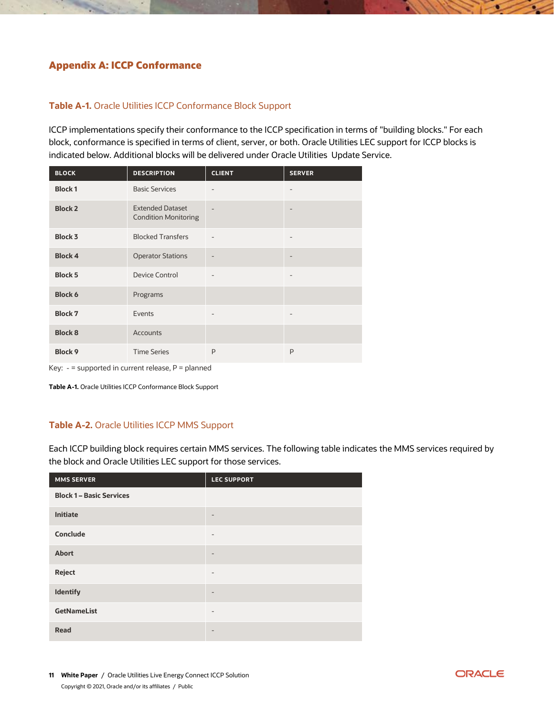# <span id="page-10-0"></span>**Appendix A: ICCP Conformance**

## <span id="page-10-1"></span>**Table A-1.** Oracle Utilities ICCP Conformance Block Support

ICCP implementations specify their conformance to the ICCP specification in terms of "building blocks." For each block, conformance is specified in terms of client, server, or both. Oracle Utilities LEC support for ICCP blocks is indicated below. Additional blocks will be delivered under Oracle Utilities Update Service.

| <b>BLOCK</b>   | <b>DESCRIPTION</b>                                     | <b>CLIENT</b>            | <b>SERVER</b>            |
|----------------|--------------------------------------------------------|--------------------------|--------------------------|
| <b>Block1</b>  | <b>Basic Services</b>                                  | $\overline{\phantom{0}}$ |                          |
| <b>Block 2</b> | <b>Extended Dataset</b><br><b>Condition Monitoring</b> |                          |                          |
| <b>Block 3</b> | <b>Blocked Transfers</b>                               |                          |                          |
| <b>Block 4</b> | <b>Operator Stations</b>                               |                          |                          |
| <b>Block 5</b> | <b>Device Control</b>                                  | $\overline{\phantom{0}}$ | $\overline{\phantom{0}}$ |
| <b>Block 6</b> | Programs                                               |                          |                          |
| <b>Block 7</b> | Events                                                 | $\overline{\phantom{a}}$ | -                        |
| <b>Block 8</b> | <b>Accounts</b>                                        |                          |                          |
| <b>Block 9</b> | <b>Time Series</b>                                     | P                        | P                        |

Key: - = supported in current release, P = planned

**Table A-1.** Oracle Utilities ICCP Conformance Block Support

## <span id="page-10-2"></span>**Table A-2.** Oracle Utilities ICCP MMS Support

Each ICCP building block requires certain MMS services. The following table indicates the MMS services required by the block and Oracle Utilities LEC support for those services.

| <b>MMS SERVER</b>               | <b>LEC SUPPORT</b>       |
|---------------------------------|--------------------------|
| <b>Block 1 - Basic Services</b> |                          |
| Initiate                        |                          |
| Conclude                        | $\overline{\phantom{a}}$ |
| <b>Abort</b>                    |                          |
| <b>Reject</b>                   | $\qquad \qquad -$        |
| Identify                        | $\qquad \qquad$          |
| <b>GetNameList</b>              | $\qquad \qquad -$        |
| <b>Read</b>                     | $\qquad \qquad$          |

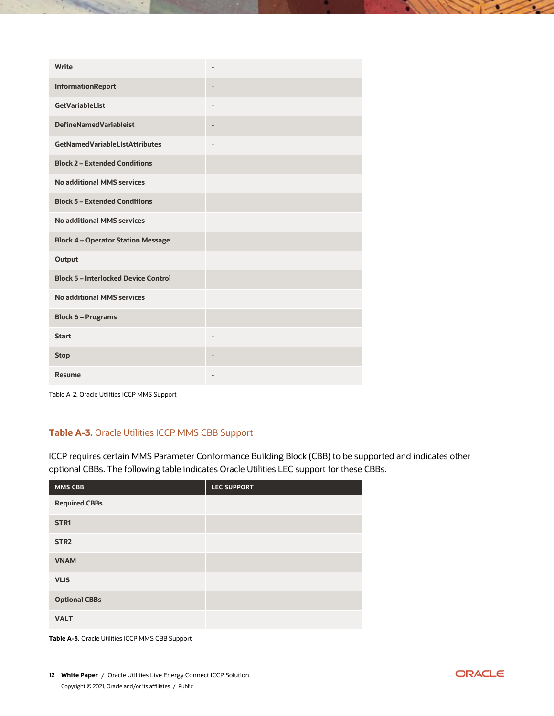| Write                                       |                   |
|---------------------------------------------|-------------------|
| InformationReport                           | $\qquad \qquad -$ |
| <b>GetVariableList</b>                      |                   |
| <b>DefineNamedVariableist</b>               | ٠                 |
| <b>GetNamedVariableLIstAttributes</b>       |                   |
| <b>Block 2 - Extended Conditions</b>        |                   |
| <b>No additional MMS services</b>           |                   |
| <b>Block 3 - Extended Conditions</b>        |                   |
| <b>No additional MMS services</b>           |                   |
| <b>Block 4 - Operator Station Message</b>   |                   |
| <b>Output</b>                               |                   |
| <b>Block 5 - Interlocked Device Control</b> |                   |
| <b>No additional MMS services</b>           |                   |
| <b>Block 6 - Programs</b>                   |                   |
| <b>Start</b>                                | $\overline{a}$    |
| <b>Stop</b>                                 | $\qquad \qquad -$ |
| <b>Resume</b>                               |                   |

Table A-2. Oracle Utilities ICCP MMS Support

## <span id="page-11-0"></span>**Table A-3.** Oracle Utilities ICCP MMS CBB Support

ICCP requires certain MMS Parameter Conformance Building Block (CBB) to be supported and indicates other optional CBBs. The following table indicates Oracle Utilities LEC support for these CBBs.

| <b>MMS CBB</b>       | <b>LEC SUPPORT</b> |
|----------------------|--------------------|
| <b>Required CBBs</b> |                    |
| STR <sub>1</sub>     |                    |
| STR <sub>2</sub>     |                    |
| <b>VNAM</b>          |                    |
| <b>VLIS</b>          |                    |
| <b>Optional CBBs</b> |                    |
| <b>VALT</b>          |                    |

**Table A-3.** Oracle Utilities ICCP MMS CBB Support

**12 White Paper** / Oracle Utilities Live Energy Connect ICCP Solution Copyright © 2021, Oracle and/or its affiliates / Public

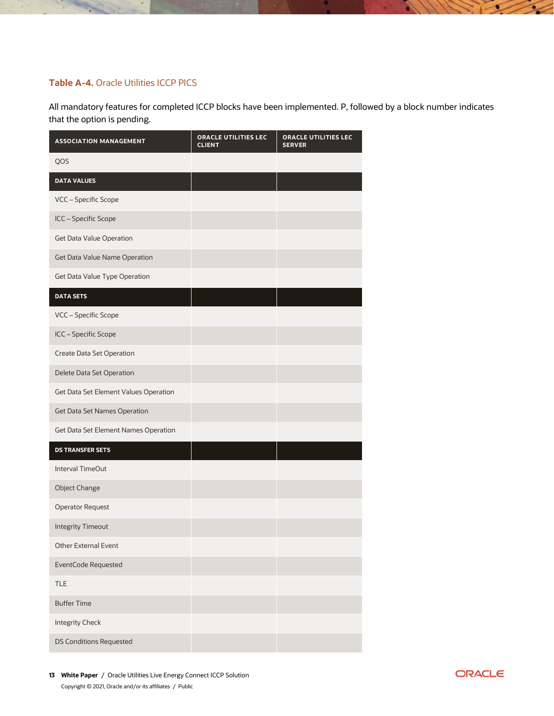## <span id="page-12-0"></span>**Table A-4.** Oracle Utilities ICCP PICS

All mandatory features for completed ICCP blocks have been implemented. P, followed by a block number indicates that the option is pending.

| <b>ASSOCIATION MANAGEMENT</b>         | ORACLE UTILITIES LEC<br><b>CLIENT</b> | ORACLE UTILITIES LEC<br><b>SERVER</b> |
|---------------------------------------|---------------------------------------|---------------------------------------|
| QOS                                   |                                       |                                       |
| <b>DATA VALUES</b>                    |                                       |                                       |
| VCC - Specific Scope                  |                                       |                                       |
| ICC - Specific Scope                  |                                       |                                       |
| Get Data Value Operation              |                                       |                                       |
| Get Data Value Name Operation         |                                       |                                       |
| Get Data Value Type Operation         |                                       |                                       |
| <b>DATA SETS</b>                      |                                       |                                       |
| VCC - Specific Scope                  |                                       |                                       |
| ICC - Specific Scope                  |                                       |                                       |
| <b>Create Data Set Operation</b>      |                                       |                                       |
| Delete Data Set Operation             |                                       |                                       |
| Get Data Set Element Values Operation |                                       |                                       |
| <b>Get Data Set Names Operation</b>   |                                       |                                       |
| Get Data Set Element Names Operation  |                                       |                                       |
| <b>DS TRANSFER SETS</b>               |                                       |                                       |
| Interval TimeOut                      |                                       |                                       |
| <b>Object Change</b>                  |                                       |                                       |
| <b>Operator Request</b>               |                                       |                                       |
| <b>Integrity Timeout</b>              |                                       |                                       |
| Other External Event                  |                                       |                                       |
| EventCode Requested                   |                                       |                                       |
| <b>TLE</b>                            |                                       |                                       |
| <b>Buffer Time</b>                    |                                       |                                       |
| <b>Integrity Check</b>                |                                       |                                       |
| <b>DS Conditions Requested</b>        |                                       |                                       |

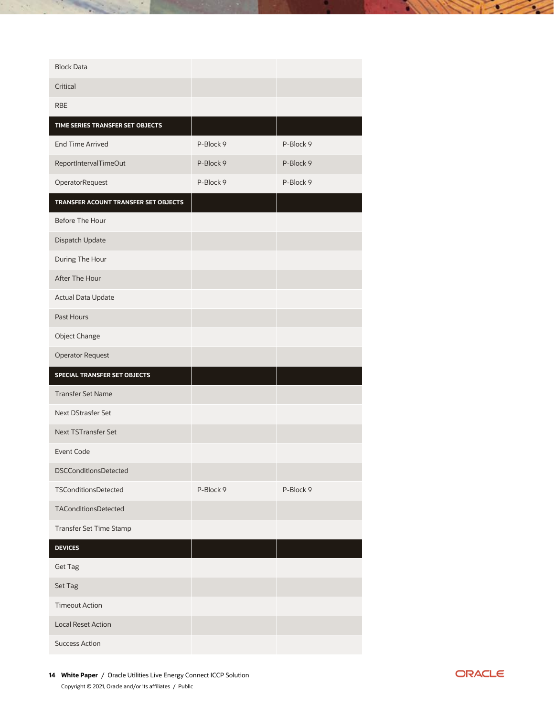| <b>Block Data</b>                    |           |           |
|--------------------------------------|-----------|-----------|
| Critical                             |           |           |
| <b>RBE</b>                           |           |           |
| TIME SERIES TRANSFER SET OBJECTS     |           |           |
| <b>End Time Arrived</b>              | P-Block 9 | P-Block 9 |
| ReportIntervalTimeOut                | P-Block 9 | P-Block 9 |
| OperatorRequest                      | P-Block 9 | P-Block 9 |
| TRANSFER ACOUNT TRANSFER SET OBJECTS |           |           |
| Before The Hour                      |           |           |
| Dispatch Update                      |           |           |
| During The Hour                      |           |           |
| After The Hour                       |           |           |
| Actual Data Update                   |           |           |
| <b>Past Hours</b>                    |           |           |
| <b>Object Change</b>                 |           |           |
| <b>Operator Request</b>              |           |           |
| SPECIAL TRANSFER SET OBJECTS         |           |           |
| <b>Transfer Set Name</b>             |           |           |
| <b>Next DStrasfer Set</b>            |           |           |
| <b>Next TSTransfer Set</b>           |           |           |
| Event Code                           |           |           |
| <b>DSCConditionsDetected</b>         |           |           |
| <b>TSConditionsDetected</b>          | P-Block 9 | P-Block 9 |
| <b>TAConditionsDetected</b>          |           |           |
| Transfer Set Time Stamp              |           |           |
| <b>DEVICES</b>                       |           |           |
| <b>Get Tag</b>                       |           |           |
| Set Tag                              |           |           |
| <b>Timeout Action</b>                |           |           |
| <b>Local Reset Action</b>            |           |           |
| <b>Success Action</b>                |           |           |

 $\sim$